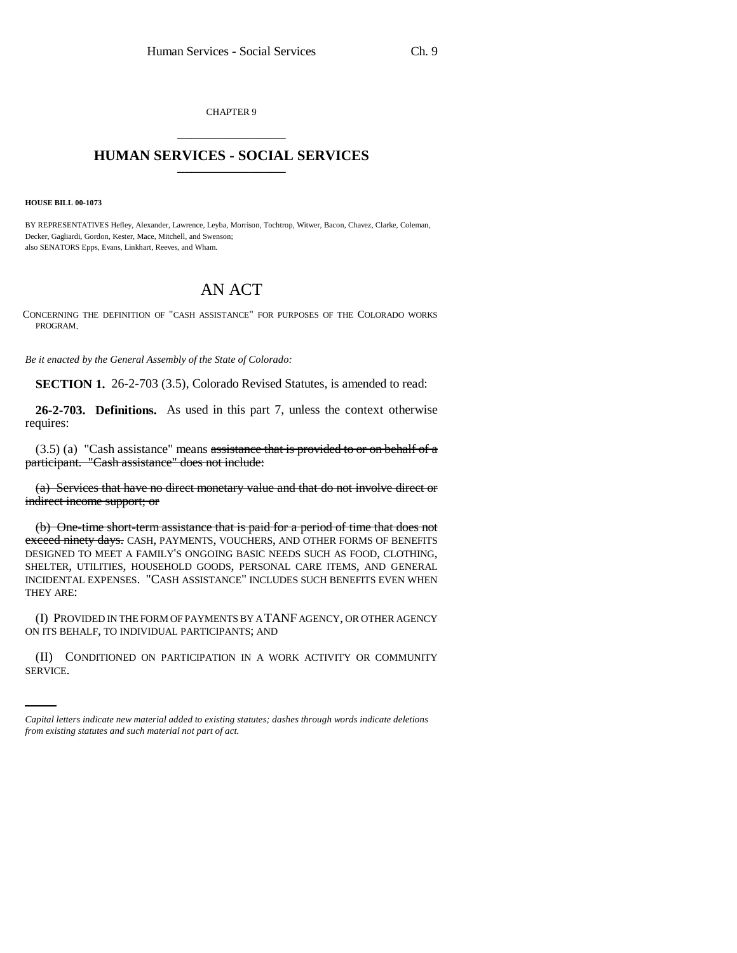CHAPTER 9 \_\_\_\_\_\_\_\_\_\_\_\_\_\_\_

## **HUMAN SERVICES - SOCIAL SERVICES** \_\_\_\_\_\_\_\_\_\_\_\_\_\_\_

**HOUSE BILL 00-1073** 

BY REPRESENTATIVES Hefley, Alexander, Lawrence, Leyba, Morrison, Tochtrop, Witwer, Bacon, Chavez, Clarke, Coleman, Decker, Gagliardi, Gordon, Kester, Mace, Mitchell, and Swenson; also SENATORS Epps, Evans, Linkhart, Reeves, and Wham.

## AN ACT

CONCERNING THE DEFINITION OF "CASH ASSISTANCE" FOR PURPOSES OF THE COLORADO WORKS PROGRAM.

*Be it enacted by the General Assembly of the State of Colorado:*

**SECTION 1.** 26-2-703 (3.5), Colorado Revised Statutes, is amended to read:

**26-2-703. Definitions.** As used in this part 7, unless the context otherwise requires:

 $(3.5)$  (a) "Cash assistance" means assistance that is provided to or on behalf of a participant. "Cash assistance" does not include:

(a) Services that have no direct monetary value and that do not involve direct or indirect income support; or

(b) One-time short-term assistance that is paid for a period of time that does not exceed ninety days. CASH, PAYMENTS, VOUCHERS, AND OTHER FORMS OF BENEFITS DESIGNED TO MEET A FAMILY'S ONGOING BASIC NEEDS SUCH AS FOOD, CLOTHING, SHELTER, UTILITIES, HOUSEHOLD GOODS, PERSONAL CARE ITEMS, AND GENERAL INCIDENTAL EXPENSES. "CASH ASSISTANCE" INCLUDES SUCH BENEFITS EVEN WHEN THEY ARE:

(I) PROVIDED IN THE FORM OF PAYMENTS BY A TANF AGENCY, OR OTHER AGENCY ON ITS BEHALF, TO INDIVIDUAL PARTICIPANTS; AND

(II) CONDITIONED ON PARTICIPATION IN A WORK ACTIVITY OR COMMUNITY SERVICE.

*Capital letters indicate new material added to existing statutes; dashes through words indicate deletions from existing statutes and such material not part of act.*